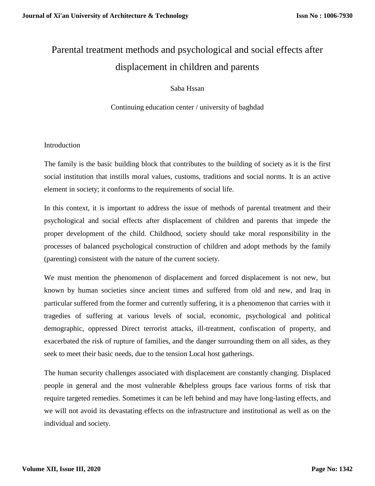# Parental treatment methods and psychological and social effects after displacement in children and parents

Saba Hssan

Continuing education center / university of baghdad

## Introduction

The family is the basic building block that contributes to the building of society as it is the first social institution that instills moral values, customs, traditions and social norms. It is an active element in society; it conforms to the requirements of social life.

In this context, it is important to address the issue of methods of parental treatment and their psychological and social effects after displacement of children and parents that impede the proper development of the child. Childhood, society should take moral responsibility in the processes of balanced psychological construction of children and adopt methods by the family (parenting) consistent with the nature of the current society.

We must mention the phenomenon of displacement and forced displacement is not new, but known by human societies since ancient times and suffered from old and new, and Iraq in particular suffered from the former and currently suffering, it is a phenomenon that carries with it tragedies of suffering at various levels of social, economic, psychological and political demographic, oppressed Direct terrorist attacks, ill-treatment, confiscation of property, and exacerbated the risk of rupture of families, and the danger surrounding them on all sides, as they seek to meet their basic needs, due to the tension Local host gatherings.

The human security challenges associated with displacement are constantly changing. Displaced people in general and the most vulnerable &helpless groups face various forms of risk that require targeted remedies. Sometimes it can be left behind and may have long-lasting effects, and we will not avoid its devastating effects on the infrastructure and institutional as well as on the individual and society.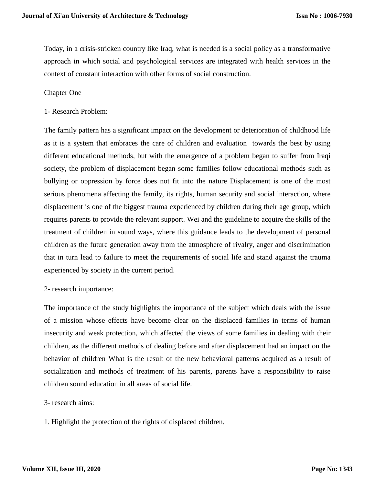Today, in a crisis-stricken country like Iraq, what is needed is a social policy as a transformative approach in which social and psychological services are integrated with health services in the context of constant interaction with other forms of social construction.

#### Chapter One

1- Research Problem:

The family pattern has a significant impact on the development or deterioration of childhood life as it is a system that embraces the care of children and evaluation towards the best by using different educational methods, but with the emergence of a problem began to suffer from Iraqi society, the problem of displacement began some families follow educational methods such as bullying or oppression by force does not fit into the nature Displacement is one of the most serious phenomena affecting the family, its rights, human security and social interaction, where displacement is one of the biggest trauma experienced by children during their age group, which requires parents to provide the relevant support. Wei and the guideline to acquire the skills of the treatment of children in sound ways, where this guidance leads to the development of personal children as the future generation away from the atmosphere of rivalry, anger and discrimination that in turn lead to failure to meet the requirements of social life and stand against the trauma experienced by society in the current period.

#### 2- research importance:

The importance of the study highlights the importance of the subject which deals with the issue of a mission whose effects have become clear on the displaced families in terms of human insecurity and weak protection, which affected the views of some families in dealing with their children, as the different methods of dealing before and after displacement had an impact on the behavior of children What is the result of the new behavioral patterns acquired as a result of socialization and methods of treatment of his parents, parents have a responsibility to raise children sound education in all areas of social life.

- 3- research aims:
- 1. Highlight the protection of the rights of displaced children.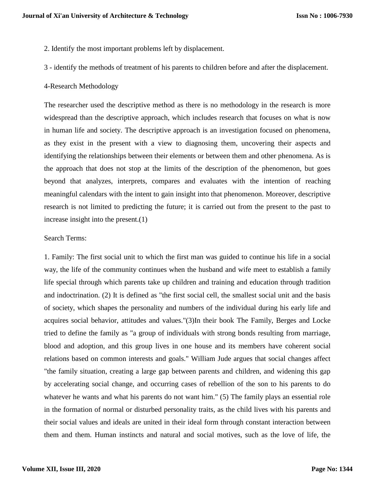- 2. Identify the most important problems left by displacement.
- 3 identify the methods of treatment of his parents to children before and after the displacement.
- 4-Research Methodology

The researcher used the descriptive method as there is no methodology in the research is more widespread than the descriptive approach, which includes research that focuses on what is now in human life and society. The descriptive approach is an investigation focused on phenomena, as they exist in the present with a view to diagnosing them, uncovering their aspects and identifying the relationships between their elements or between them and other phenomena. As is the approach that does not stop at the limits of the description of the phenomenon, but goes beyond that analyzes, interprets, compares and evaluates with the intention of reaching meaningful calendars with the intent to gain insight into that phenomenon. Moreover, descriptive research is not limited to predicting the future; it is carried out from the present to the past to increase insight into the present.(1)

## Search Terms:

1. Family: The first social unit to which the first man was guided to continue his life in a social way, the life of the community continues when the husband and wife meet to establish a family life special through which parents take up children and training and education through tradition and indoctrination. (2) It is defined as "the first social cell, the smallest social unit and the basis of society, which shapes the personality and numbers of the individual during his early life and acquires social behavior, attitudes and values."(3)In their book The Family, Berges and Locke tried to define the family as "a group of individuals with strong bonds resulting from marriage, blood and adoption, and this group lives in one house and its members have coherent social relations based on common interests and goals." William Jude argues that social changes affect "the family situation, creating a large gap between parents and children, and widening this gap by accelerating social change, and occurring cases of rebellion of the son to his parents to do whatever he wants and what his parents do not want him." (5) The family plays an essential role in the formation of normal or disturbed personality traits, as the child lives with his parents and their social values and ideals are united in their ideal form through constant interaction between them and them. Human instincts and natural and social motives, such as the love of life, the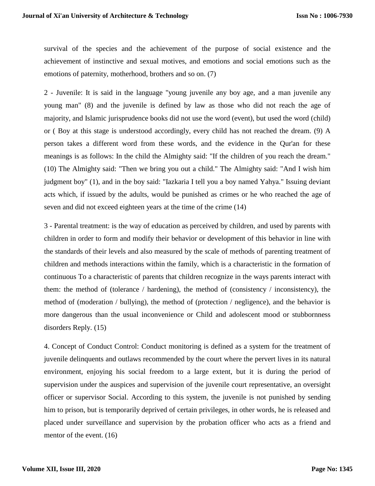survival of the species and the achievement of the purpose of social existence and the achievement of instinctive and sexual motives, and emotions and social emotions such as the emotions of paternity, motherhood, brothers and so on. (7)

2 - Juvenile: It is said in the language "young juvenile any boy age, and a man juvenile any young man" (8) and the juvenile is defined by law as those who did not reach the age of majority, and Islamic jurisprudence books did not use the word (event), but used the word (child) or ( Boy at this stage is understood accordingly, every child has not reached the dream. (9) A person takes a different word from these words, and the evidence in the Qur'an for these meanings is as follows: In the child the Almighty said: "If the children of you reach the dream." (10) The Almighty said: "Then we bring you out a child." The Almighty said: "And I wish him judgment boy" (1), and in the boy said: "Iazkaria I tell you a boy named Yahya." Issuing deviant acts which, if issued by the adults, would be punished as crimes or he who reached the age of seven and did not exceed eighteen years at the time of the crime (14)

3 - Parental treatment: is the way of education as perceived by children, and used by parents with children in order to form and modify their behavior or development of this behavior in line with the standards of their levels and also measured by the scale of methods of parenting treatment of children and methods interactions within the family, which is a characteristic in the formation of continuous To a characteristic of parents that children recognize in the ways parents interact with them: the method of (tolerance / hardening), the method of (consistency / inconsistency), the method of (moderation / bullying), the method of (protection / negligence), and the behavior is more dangerous than the usual inconvenience or Child and adolescent mood or stubbornness disorders Reply. (15)

4. Concept of Conduct Control: Conduct monitoring is defined as a system for the treatment of juvenile delinquents and outlaws recommended by the court where the pervert lives in its natural environment, enjoying his social freedom to a large extent, but it is during the period of supervision under the auspices and supervision of the juvenile court representative, an oversight officer or supervisor Social. According to this system, the juvenile is not punished by sending him to prison, but is temporarily deprived of certain privileges, in other words, he is released and placed under surveillance and supervision by the probation officer who acts as a friend and mentor of the event. (16)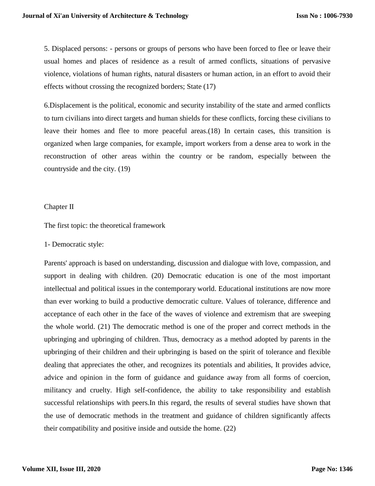5. Displaced persons: - persons or groups of persons who have been forced to flee or leave their usual homes and places of residence as a result of armed conflicts, situations of pervasive violence, violations of human rights, natural disasters or human action, in an effort to avoid their effects without crossing the recognized borders; State (17)

6.Displacement is the political, economic and security instability of the state and armed conflicts to turn civilians into direct targets and human shields for these conflicts, forcing these civilians to leave their homes and flee to more peaceful areas.(18) In certain cases, this transition is organized when large companies, for example, import workers from a dense area to work in the reconstruction of other areas within the country or be random, especially between the countryside and the city. (19)

## Chapter II

The first topic: the theoretical framework

## 1- Democratic style:

Parents' approach is based on understanding, discussion and dialogue with love, compassion, and support in dealing with children. (20) Democratic education is one of the most important intellectual and political issues in the contemporary world. Educational institutions are now more than ever working to build a productive democratic culture. Values of tolerance, difference and acceptance of each other in the face of the waves of violence and extremism that are sweeping the whole world. (21) The democratic method is one of the proper and correct methods in the upbringing and upbringing of children. Thus, democracy as a method adopted by parents in the upbringing of their children and their upbringing is based on the spirit of tolerance and flexible dealing that appreciates the other, and recognizes its potentials and abilities, It provides advice, advice and opinion in the form of guidance and guidance away from all forms of coercion, militancy and cruelty. High self-confidence, the ability to take responsibility and establish successful relationships with peers.In this regard, the results of several studies have shown that the use of democratic methods in the treatment and guidance of children significantly affects their compatibility and positive inside and outside the home. (22)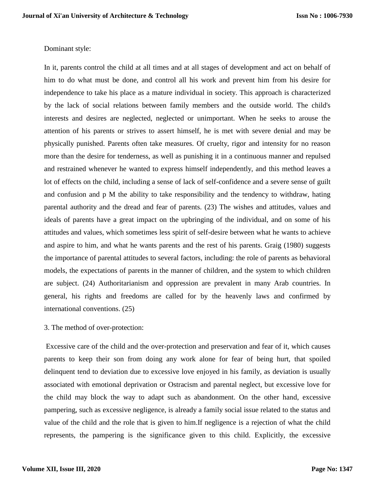## Dominant style:

In it, parents control the child at all times and at all stages of development and act on behalf of him to do what must be done, and control all his work and prevent him from his desire for independence to take his place as a mature individual in society. This approach is characterized by the lack of social relations between family members and the outside world. The child's interests and desires are neglected, neglected or unimportant. When he seeks to arouse the attention of his parents or strives to assert himself, he is met with severe denial and may be physically punished. Parents often take measures. Of cruelty, rigor and intensity for no reason more than the desire for tenderness, as well as punishing it in a continuous manner and repulsed and restrained whenever he wanted to express himself independently, and this method leaves a lot of effects on the child, including a sense of lack of self-confidence and a severe sense of guilt and confusion and p M the ability to take responsibility and the tendency to withdraw, hating parental authority and the dread and fear of parents. (23) The wishes and attitudes, values and ideals of parents have a great impact on the upbringing of the individual, and on some of his attitudes and values, which sometimes less spirit of self-desire between what he wants to achieve and aspire to him, and what he wants parents and the rest of his parents. Graig (1980) suggests the importance of parental attitudes to several factors, including: the role of parents as behavioral models, the expectations of parents in the manner of children, and the system to which children are subject. (24) Authoritarianism and oppression are prevalent in many Arab countries. In general, his rights and freedoms are called for by the heavenly laws and confirmed by international conventions. (25)

3. The method of over-protection:

Excessive care of the child and the over-protection and preservation and fear of it, which causes parents to keep their son from doing any work alone for fear of being hurt, that spoiled delinquent tend to deviation due to excessive love enjoyed in his family, as deviation is usually associated with emotional deprivation or Ostracism and parental neglect, but excessive love for the child may block the way to adapt such as abandonment. On the other hand, excessive pampering, such as excessive negligence, is already a family social issue related to the status and value of the child and the role that is given to him.If negligence is a rejection of what the child represents, the pampering is the significance given to this child. Explicitly, the excessive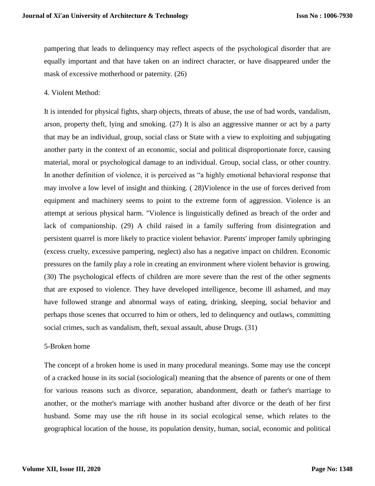pampering that leads to delinquency may reflect aspects of the psychological disorder that are equally important and that have taken on an indirect character, or have disappeared under the mask of excessive motherhood or paternity. (26)

## 4. Violent Method:

It is intended for physical fights, sharp objects, threats of abuse, the use of bad words, vandalism, arson, property theft, lying and smoking. (27) It is also an aggressive manner or act by a party that may be an individual, group, social class or State with a view to exploiting and subjugating another party in the context of an economic, social and political disproportionate force, causing material, moral or psychological damage to an individual. Group, social class, or other country. In another definition of violence, it is perceived as "a highly emotional behavioral response that may involve a low level of insight and thinking. ( 28)Violence in the use of forces derived from equipment and machinery seems to point to the extreme form of aggression. Violence is an attempt at serious physical harm. "Violence is linguistically defined as breach of the order and lack of companionship. (29) A child raised in a family suffering from disintegration and persistent quarrel is more likely to practice violent behavior. Parents' improper family upbringing (excess cruelty, excessive pampering, neglect) also has a negative impact on children. Economic pressures on the family play a role in creating an environment where violent behavior is growing. (30) The psychological effects of children are more severe than the rest of the other segments that are exposed to violence. They have developed intelligence, become ill ashamed, and may have followed strange and abnormal ways of eating, drinking, sleeping, social behavior and perhaps those scenes that occurred to him or others, led to delinquency and outlaws, committing social crimes, such as vandalism, theft, sexual assault, abuse Drugs. (31)

#### 5-Broken home

The concept of a broken home is used in many procedural meanings. Some may use the concept of a cracked house in its social (sociological) meaning that the absence of parents or one of them for various reasons such as divorce, separation, abandonment, death or father's marriage to another, or the mother's marriage with another husband after divorce or the death of her first husband. Some may use the rift house in its social ecological sense, which relates to the geographical location of the house, its population density, human, social, economic and political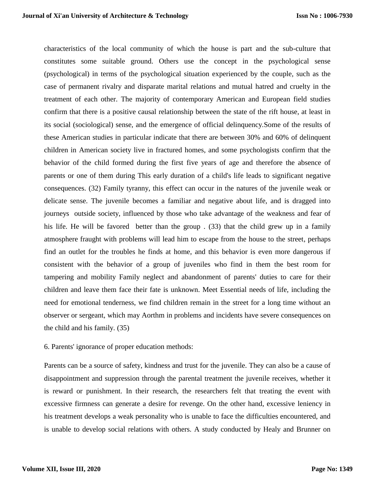characteristics of the local community of which the house is part and the sub-culture that constitutes some suitable ground. Others use the concept in the psychological sense (psychological) in terms of the psychological situation experienced by the couple, such as the case of permanent rivalry and disparate marital relations and mutual hatred and cruelty in the treatment of each other. The majority of contemporary American and European field studies confirm that there is a positive causal relationship between the state of the rift house, at least in its social (sociological) sense, and the emergence of official delinquency.Some of the results of these American studies in particular indicate that there are between 30% and 60% of delinquent children in American society live in fractured homes, and some psychologists confirm that the behavior of the child formed during the first five years of age and therefore the absence of parents or one of them during This early duration of a child's life leads to significant negative consequences. (32) Family tyranny, this effect can occur in the natures of the juvenile weak or delicate sense. The juvenile becomes a familiar and negative about life, and is dragged into journeys outside society, influenced by those who take advantage of the weakness and fear of his life. He will be favored better than the group . (33) that the child grew up in a family atmosphere fraught with problems will lead him to escape from the house to the street, perhaps find an outlet for the troubles he finds at home, and this behavior is even more dangerous if consistent with the behavior of a group of juveniles who find in them the best room for tampering and mobility Family neglect and abandonment of parents' duties to care for their children and leave them face their fate is unknown. Meet Essential needs of life, including the need for emotional tenderness, we find children remain in the street for a long time without an observer or sergeant, which may Aorthm in problems and incidents have severe consequences on the child and his family. (35)

### 6. Parents' ignorance of proper education methods:

Parents can be a source of safety, kindness and trust for the juvenile. They can also be a cause of disappointment and suppression through the parental treatment the juvenile receives, whether it is reward or punishment. In their research, the researchers felt that treating the event with excessive firmness can generate a desire for revenge. On the other hand, excessive leniency in his treatment develops a weak personality who is unable to face the difficulties encountered, and is unable to develop social relations with others. A study conducted by Healy and Brunner on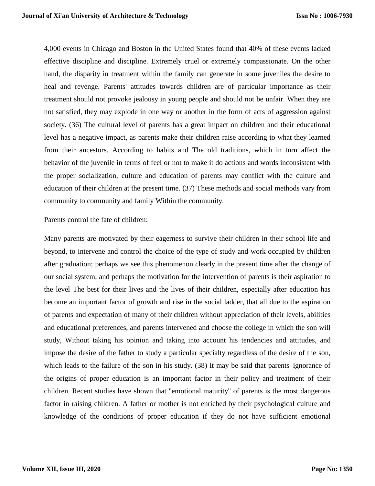4,000 events in Chicago and Boston in the United States found that 40% of these events lacked effective discipline and discipline. Extremely cruel or extremely compassionate. On the other hand, the disparity in treatment within the family can generate in some juveniles the desire to heal and revenge. Parents' attitudes towards children are of particular importance as their treatment should not provoke jealousy in young people and should not be unfair. When they are not satisfied, they may explode in one way or another in the form of acts of aggression against society. (36) The cultural level of parents has a great impact on children and their educational level has a negative impact, as parents make their children raise according to what they learned from their ancestors. According to habits and The old traditions, which in turn affect the behavior of the juvenile in terms of feel or not to make it do actions and words inconsistent with the proper socialization, culture and education of parents may conflict with the culture and education of their children at the present time. (37) These methods and social methods vary from community to community and family Within the community.

#### Parents control the fate of children:

Many parents are motivated by their eagerness to survive their children in their school life and beyond, to intervene and control the choice of the type of study and work occupied by children after graduation; perhaps we see this phenomenon clearly in the present time after the change of our social system, and perhaps the motivation for the intervention of parents is their aspiration to the level The best for their lives and the lives of their children, especially after education has become an important factor of growth and rise in the social ladder, that all due to the aspiration of parents and expectation of many of their children without appreciation of their levels, abilities and educational preferences, and parents intervened and choose the college in which the son will study, Without taking his opinion and taking into account his tendencies and attitudes, and impose the desire of the father to study a particular specialty regardless of the desire of the son, which leads to the failure of the son in his study. (38) It may be said that parents' ignorance of the origins of proper education is an important factor in their policy and treatment of their children. Recent studies have shown that "emotional maturity" of parents is the most dangerous factor in raising children. A father or mother is not enriched by their psychological culture and knowledge of the conditions of proper education if they do not have sufficient emotional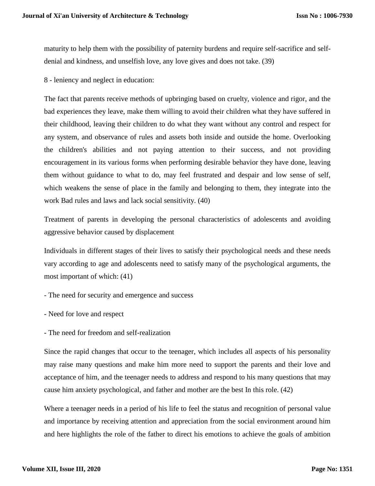maturity to help them with the possibility of paternity burdens and require self-sacrifice and selfdenial and kindness, and unselfish love, any love gives and does not take. (39)

8 - leniency and neglect in education:

The fact that parents receive methods of upbringing based on cruelty, violence and rigor, and the bad experiences they leave, make them willing to avoid their children what they have suffered in their childhood, leaving their children to do what they want without any control and respect for any system, and observance of rules and assets both inside and outside the home. Overlooking the children's abilities and not paying attention to their success, and not providing encouragement in its various forms when performing desirable behavior they have done, leaving them without guidance to what to do, may feel frustrated and despair and low sense of self, which weakens the sense of place in the family and belonging to them, they integrate into the work Bad rules and laws and lack social sensitivity. (40)

Treatment of parents in developing the personal characteristics of adolescents and avoiding aggressive behavior caused by displacement

Individuals in different stages of their lives to satisfy their psychological needs and these needs vary according to age and adolescents need to satisfy many of the psychological arguments, the most important of which: (41)

- The need for security and emergence and success
- Need for love and respect
- The need for freedom and self-realization

Since the rapid changes that occur to the teenager, which includes all aspects of his personality may raise many questions and make him more need to support the parents and their love and acceptance of him, and the teenager needs to address and respond to his many questions that may cause him anxiety psychological, and father and mother are the best In this role. (42)

Where a teenager needs in a period of his life to feel the status and recognition of personal value and importance by receiving attention and appreciation from the social environment around him and here highlights the role of the father to direct his emotions to achieve the goals of ambition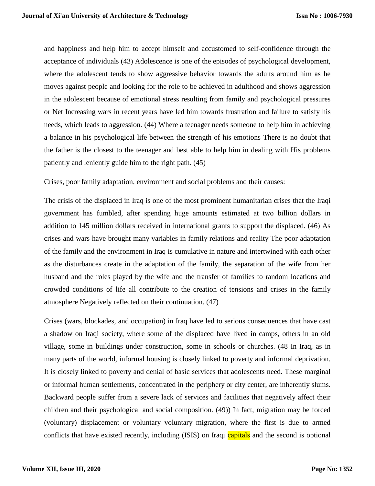and happiness and help him to accept himself and accustomed to self-confidence through the acceptance of individuals (43) Adolescence is one of the episodes of psychological development, where the adolescent tends to show aggressive behavior towards the adults around him as he moves against people and looking for the role to be achieved in adulthood and shows aggression in the adolescent because of emotional stress resulting from family and psychological pressures or Net Increasing wars in recent years have led him towards frustration and failure to satisfy his needs, which leads to aggression. (44) Where a teenager needs someone to help him in achieving a balance in his psychological life between the strength of his emotions There is no doubt that the father is the closest to the teenager and best able to help him in dealing with His problems patiently and leniently guide him to the right path. (45)

Crises, poor family adaptation, environment and social problems and their causes:

The crisis of the displaced in Iraq is one of the most prominent humanitarian crises that the Iraqi government has fumbled, after spending huge amounts estimated at two billion dollars in addition to 145 million dollars received in international grants to support the displaced. (46) As crises and wars have brought many variables in family relations and reality The poor adaptation of the family and the environment in Iraq is cumulative in nature and intertwined with each other as the disturbances create in the adaptation of the family, the separation of the wife from her husband and the roles played by the wife and the transfer of families to random locations and crowded conditions of life all contribute to the creation of tensions and crises in the family atmosphere Negatively reflected on their continuation. (47)

Crises (wars, blockades, and occupation) in Iraq have led to serious consequences that have cast a shadow on Iraqi society, where some of the displaced have lived in camps, others in an old village, some in buildings under construction, some in schools or churches. (48 In Iraq, as in many parts of the world, informal housing is closely linked to poverty and informal deprivation. It is closely linked to poverty and denial of basic services that adolescents need. These marginal or informal human settlements, concentrated in the periphery or city center, are inherently slums. Backward people suffer from a severe lack of services and facilities that negatively affect their children and their psychological and social composition. (49)) In fact, migration may be forced (voluntary) displacement or voluntary voluntary migration, where the first is due to armed conflicts that have existed recently, including (ISIS) on Iraqi capitals and the second is optional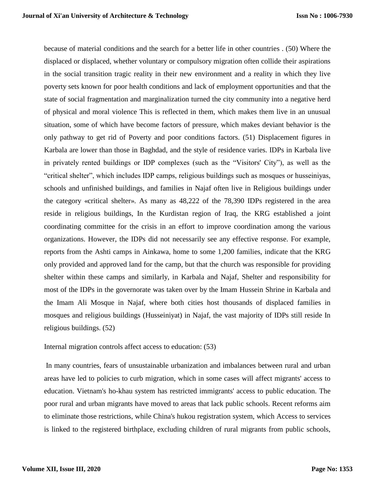because of material conditions and the search for a better life in other countries . (50) Where the displaced or displaced, whether voluntary or compulsory migration often collide their aspirations in the social transition tragic reality in their new environment and a reality in which they live poverty sets known for poor health conditions and lack of employment opportunities and that the state of social fragmentation and marginalization turned the city community into a negative herd of physical and moral violence This is reflected in them, which makes them live in an unusual situation, some of which have become factors of pressure, which makes deviant behavior is the only pathway to get rid of Poverty and poor conditions factors. (51) Displacement figures in Karbala are lower than those in Baghdad, and the style of residence varies. IDPs in Karbala live in privately rented buildings or IDP complexes (such as the "Visitors' City"), as well as the "critical shelter", which includes IDP camps, religious buildings such as mosques or husseiniyas, schools and unfinished buildings, and families in Najaf often live in Religious buildings under the category «critical shelter». As many as 48,222 of the 78,390 IDPs registered in the area reside in religious buildings, In the Kurdistan region of Iraq, the KRG established a joint coordinating committee for the crisis in an effort to improve coordination among the various organizations. However, the IDPs did not necessarily see any effective response. For example, reports from the Ashti camps in Ainkawa, home to some 1,200 families, indicate that the KRG only provided and approved land for the camp, but that the church was responsible for providing shelter within these camps and similarly, in Karbala and Najaf, Shelter and responsibility for most of the IDPs in the governorate was taken over by the Imam Hussein Shrine in Karbala and the Imam Ali Mosque in Najaf, where both cities host thousands of displaced families in mosques and religious buildings (Husseiniyat) in Najaf, the vast majority of IDPs still reside In religious buildings. (52)

#### Internal migration controls affect access to education: (53)

In many countries, fears of unsustainable urbanization and imbalances between rural and urban areas have led to policies to curb migration, which in some cases will affect migrants' access to education. Vietnam's ho-khau system has restricted immigrants' access to public education. The poor rural and urban migrants have moved to areas that lack public schools. Recent reforms aim to eliminate those restrictions, while China's hukou registration system, which Access to services is linked to the registered birthplace, excluding children of rural migrants from public schools,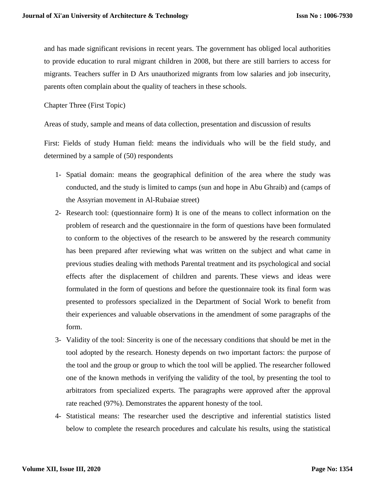and has made significant revisions in recent years. The government has obliged local authorities to provide education to rural migrant children in 2008, but there are still barriers to access for migrants. Teachers suffer in D Ars unauthorized migrants from low salaries and job insecurity, parents often complain about the quality of teachers in these schools.

Chapter Three (First Topic)

Areas of study, sample and means of data collection, presentation and discussion of results

First: Fields of study Human field: means the individuals who will be the field study, and determined by a sample of (50) respondents

- 1- Spatial domain: means the geographical definition of the area where the study was conducted, and the study is limited to camps (sun and hope in Abu Ghraib) and (camps of the Assyrian movement in Al-Rubaiae street)
- 2- Research tool: (questionnaire form) It is one of the means to collect information on the problem of research and the questionnaire in the form of questions have been formulated to conform to the objectives of the research to be answered by the research community has been prepared after reviewing what was written on the subject and what came in previous studies dealing with methods Parental treatment and its psychological and social effects after the displacement of children and parents. These views and ideas were formulated in the form of questions and before the questionnaire took its final form was presented to professors specialized in the Department of Social Work to benefit from their experiences and valuable observations in the amendment of some paragraphs of the form.
- 3- Validity of the tool: Sincerity is one of the necessary conditions that should be met in the tool adopted by the research. Honesty depends on two important factors: the purpose of the tool and the group or group to which the tool will be applied. The researcher followed one of the known methods in verifying the validity of the tool, by presenting the tool to arbitrators from specialized experts. The paragraphs were approved after the approval rate reached (97%). Demonstrates the apparent honesty of the tool.
- 4- Statistical means: The researcher used the descriptive and inferential statistics listed below to complete the research procedures and calculate his results, using the statistical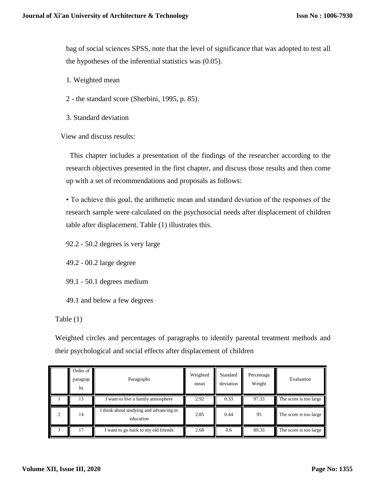bag of social sciences SPSS, note that the level of significance that was adopted to test all the hypotheses of the inferential statistics was (0.05).

- 1. Weighted mean
- 2 the standard score (Sherbini, 1995, p. 85).
- 3. Standard deviation

View and discuss results:

 This chapter includes a presentation of the findings of the researcher according to the research objectives presented in the first chapter, and discuss those results and then come up with a set of recommendations and proposals as follows:

• To achieve this goal, the arithmetic mean and standard deviation of the responses of the research sample were calculated on the psychosocial needs after displacement of children table after displacement. Table (1) illustrates this.

92.2 - 50.2 degrees is very large

49.2 - 00.2 large degree

99.1 - 50.1 degrees medium

49.1 and below a few degrees

Table (1)

Weighted circles and percentages of paragraphs to identify parental treatment methods and their psychological and social effects after displacement of children

| Order of<br>paragrap<br>hs | Paragraphs                                         | Weighted<br>mean | Standard<br>deviation | Percentage<br>Weight | Evaluation             |
|----------------------------|----------------------------------------------------|------------------|-----------------------|----------------------|------------------------|
| 13                         | I want to live a family atmosphere                 | 2.92             | 0.33                  | 97.33                | The score is too large |
| 14                         | think about studying and advancing in<br>education | 2.85             | 0.44                  | 95                   | The score is too large |
|                            | I want to go back to my old friends                | 2.68             | 0.6                   | 89.33                | The score is too large |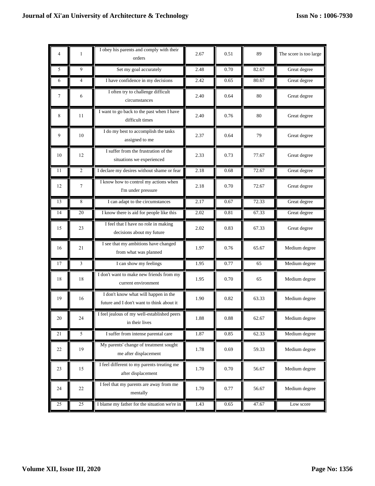| 4      | $\mathbf{1}$   | I obey his parents and comply with their<br>orders                                | 2.67     | 0.51 | 89    | The score is too large |
|--------|----------------|-----------------------------------------------------------------------------------|----------|------|-------|------------------------|
| 5      | 9              | Set my goal accurately                                                            | 2.48     | 0.70 | 82.67 | Great degree           |
| 6      | $\overline{4}$ | I have confidence in my decisions                                                 | 2.42     | 0.65 | 80.67 | Great degree           |
| 7      | 6              | I often try to challenge difficult<br>circumstances                               | 2.40     | 0.64 | 80    | Great degree           |
| 8      | 11             | I want to go back to the past when I have<br>difficult times                      | 2.40     | 0.76 | 80    | Great degree           |
| 9      | 10             | I do my best to accomplish the tasks<br>assigned to me                            | 2.37     | 0.64 | 79    | Great degree           |
| 10     | 12             | I suffer from the frustration of the<br>situations we experienced                 | 2.33     | 0.73 | 77.67 | Great degree           |
| 11     | $\overline{2}$ | I declare my desires without shame or fear                                        | 2.18     | 0.68 | 72.67 | Great degree           |
| 12     | $\tau$         | I know how to control my actions when<br>I'm under pressure                       | 2.18     | 0.70 | 72.67 | Great degree           |
| 13     | 8              | I can adapt to the circumstances                                                  | 2.17     | 0.67 | 72.33 | Great degree           |
| 14     | 20             | I know there is aid for people like this                                          | 2.02     | 0.81 | 67.33 | Great degree           |
| 15     | 23             | I feel that I have no role in making<br>decisions about my future                 | 2.02     | 0.83 | 67.33 | Great degree           |
| 16     | 21             | I see that my ambitions have changed<br>from what was planned                     | 1.97     | 0.76 | 65.67 | Medium degree          |
| 17     | 3              | I can show my feelings                                                            | 1.95     | 0.77 | 65    | Medium degree          |
| 18     | 18             | I don't want to make new friends from my<br>current environment                   | 1.95     | 0.70 | 65    | Medium degree          |
| 19     | 16             | I don't know what will happen in the<br>future and I don't want to think about it | 1.90     | 0.82 | 63.33 | Medium degree          |
| 20     | 24             | I feel jealous of my well-established peers<br>in their lives                     | 1.88     | 0.88 | 62.67 | Medium degree          |
| 21     | 5              | I suffer from intense parental care                                               | 1.87     | 0.85 | 62.33 | Medium degree          |
| $22\,$ | 19             | My parents' change of treatment sought<br>me after displacement                   | 1.78     | 0.69 | 59.33 | Medium degree          |
| 23     | 15             | I feel different to my parents treating me<br>after displacement                  | 1.70     | 0.70 | 56.67 | Medium degree          |
| 24     | 22             | I feel that my parents are away from me<br>mentally                               | $1.70\,$ | 0.77 | 56.67 | Medium degree          |
| 25     | 25             | I blame my father for the situation we're in                                      | 1.43     | 0.65 | 47.67 | Low score              |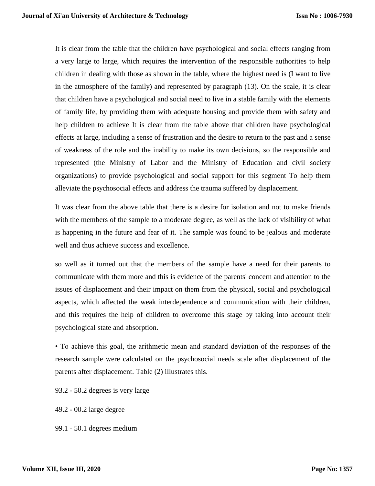It is clear from the table that the children have psychological and social effects ranging from a very large to large, which requires the intervention of the responsible authorities to help children in dealing with those as shown in the table, where the highest need is (I want to live in the atmosphere of the family) and represented by paragraph (13). On the scale, it is clear that children have a psychological and social need to live in a stable family with the elements of family life, by providing them with adequate housing and provide them with safety and help children to achieve It is clear from the table above that children have psychological effects at large, including a sense of frustration and the desire to return to the past and a sense of weakness of the role and the inability to make its own decisions, so the responsible and represented (the Ministry of Labor and the Ministry of Education and civil society organizations) to provide psychological and social support for this segment To help them alleviate the psychosocial effects and address the trauma suffered by displacement.

It was clear from the above table that there is a desire for isolation and not to make friends with the members of the sample to a moderate degree, as well as the lack of visibility of what is happening in the future and fear of it. The sample was found to be jealous and moderate well and thus achieve success and excellence.

so well as it turned out that the members of the sample have a need for their parents to communicate with them more and this is evidence of the parents' concern and attention to the issues of displacement and their impact on them from the physical, social and psychological aspects, which affected the weak interdependence and communication with their children, and this requires the help of children to overcome this stage by taking into account their psychological state and absorption.

• To achieve this goal, the arithmetic mean and standard deviation of the responses of the research sample were calculated on the psychosocial needs scale after displacement of the parents after displacement. Table (2) illustrates this.

- 93.2 50.2 degrees is very large
- 49.2 00.2 large degree
- 99.1 50.1 degrees medium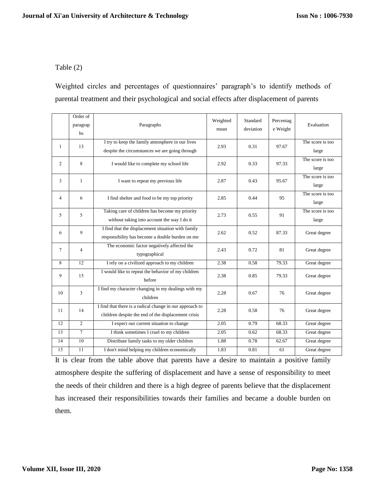# Table (2)

Weighted circles and percentages of questionnaires' paragraph's to identify methods of parental treatment and their psychological and social effects after displacement of parents

|                | Order of<br>paragrap<br>hs | Paragraphs                                                                                                      | Weighted<br>mean | Standard<br>deviation | Percentag<br>e Weight | Evaluation                |
|----------------|----------------------------|-----------------------------------------------------------------------------------------------------------------|------------------|-----------------------|-----------------------|---------------------------|
| $\mathbf{1}$   | 13                         | I try to keep the family atmosphere in our lives<br>despite the circumstances we are going through              | 2.93             | 0.31                  | 97.67                 | The score is too<br>large |
| $\overline{2}$ | 8                          | I would like to complete my school life                                                                         | 2.92             | 0.33                  | 97.33                 | The score is too<br>large |
| 3              | $\mathbf{1}$               | I want to repeat my previous life                                                                               | 2.87             | 0.43                  | 95.67                 | The score is too<br>large |
| 4              | 6                          | I find shelter and food to be my top priority                                                                   | 2.85             | 0.44                  | 95                    | The score is too<br>large |
| 5.             | 5                          | Taking care of children has become my priority<br>without taking into account the way I do it                   | 2.73             | 0.55                  | 91                    | The score is too<br>large |
| 6              | 9                          | I find that the displacement situation with family<br>responsibility has become a double burden on me           | 2.62             | 0.52                  | 87.33                 | Great degree              |
| 7              | $\overline{4}$             | The economic factor negatively affected the<br>typographical                                                    | 2.43             | 0.72                  | 81                    | Great degree              |
| 8              | 12                         | I rely on a civilized approach to my children                                                                   | 2.38             | 0.58                  | 79.33                 | Great degree              |
| 9              | 15                         | I would like to repeat the behavior of my children<br>before                                                    | 2.38             | 0.85                  | 79.33                 | Great degree              |
| 10             | 3                          | I find my character changing in my dealings with my<br>children                                                 | 2.28             | 0.67                  | 76                    | Great degree              |
| 11             | 14                         | I find that there is a radical change in our approach to<br>children despite the end of the displacement crisis | 2.28             | 0.58                  | 76                    | Great degree              |
| 12             | $\overline{2}$             | I expect our current situation to change                                                                        | 2.05             | 0.79                  | 68.33                 | Great degree              |
| 13             | $\tau$                     | I think sometimes I cruel to my children                                                                        | 2.05             | 0.62                  | 68.33                 | Great degree              |
| 14             | 10                         | Distribute family tasks to my older children                                                                    | 1.88             | 0.78                  | 62.67                 | Great degree              |
| 15             | 11                         | I don't mind helping my children economically                                                                   | 1.83             | 0.81                  | 61                    | Great degree              |

It is clear from the table above that parents have a desire to maintain a positive family atmosphere despite the suffering of displacement and have a sense of responsibility to meet the needs of their children and there is a high degree of parents believe that the displacement has increased their responsibilities towards their families and became a double burden on them.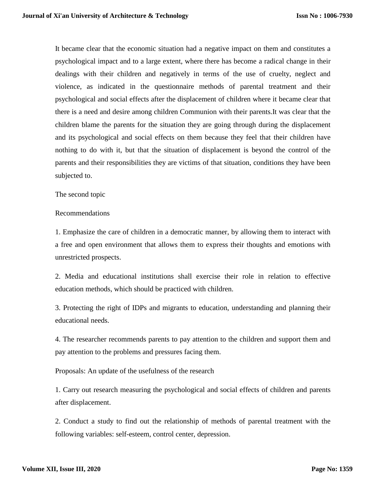It became clear that the economic situation had a negative impact on them and constitutes a psychological impact and to a large extent, where there has become a radical change in their dealings with their children and negatively in terms of the use of cruelty, neglect and violence, as indicated in the questionnaire methods of parental treatment and their psychological and social effects after the displacement of children where it became clear that there is a need and desire among children Communion with their parents.It was clear that the children blame the parents for the situation they are going through during the displacement and its psychological and social effects on them because they feel that their children have nothing to do with it, but that the situation of displacement is beyond the control of the parents and their responsibilities they are victims of that situation, conditions they have been subjected to.

The second topic

#### Recommendations

1. Emphasize the care of children in a democratic manner, by allowing them to interact with a free and open environment that allows them to express their thoughts and emotions with unrestricted prospects.

2. Media and educational institutions shall exercise their role in relation to effective education methods, which should be practiced with children.

3. Protecting the right of IDPs and migrants to education, understanding and planning their educational needs.

4. The researcher recommends parents to pay attention to the children and support them and pay attention to the problems and pressures facing them.

Proposals: An update of the usefulness of the research

1. Carry out research measuring the psychological and social effects of children and parents after displacement.

2. Conduct a study to find out the relationship of methods of parental treatment with the following variables: self-esteem, control center, depression.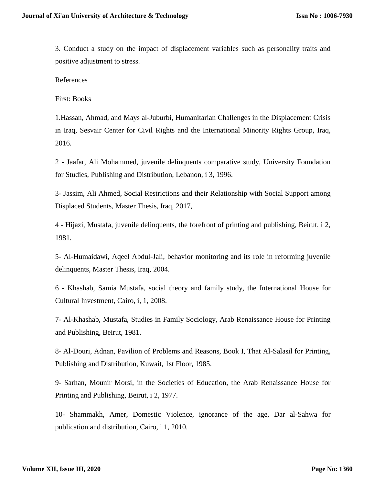3. Conduct a study on the impact of displacement variables such as personality traits and positive adjustment to stress.

References

First: Books

1.Hassan, Ahmad, and Mays al-Juburbi, Humanitarian Challenges in the Displacement Crisis in Iraq, Sesvair Center for Civil Rights and the International Minority Rights Group, Iraq, 2016.

2 - Jaafar, Ali Mohammed, juvenile delinquents comparative study, University Foundation for Studies, Publishing and Distribution, Lebanon, i 3, 1996.

3- Jassim, Ali Ahmed, Social Restrictions and their Relationship with Social Support among Displaced Students, Master Thesis, Iraq, 2017,

4 - Hijazi, Mustafa, juvenile delinquents, the forefront of printing and publishing, Beirut, i 2, 1981.

5- Al-Humaidawi, Aqeel Abdul-Jali, behavior monitoring and its role in reforming juvenile delinquents, Master Thesis, Iraq, 2004.

6 - Khashab, Samia Mustafa, social theory and family study, the International House for Cultural Investment, Cairo, i, 1, 2008.

7- Al-Khashab, Mustafa, Studies in Family Sociology, Arab Renaissance House for Printing and Publishing, Beirut, 1981.

8- Al-Douri, Adnan, Pavilion of Problems and Reasons, Book I, That Al-Salasil for Printing, Publishing and Distribution, Kuwait, 1st Floor, 1985.

9- Sarhan, Mounir Morsi, in the Societies of Education, the Arab Renaissance House for Printing and Publishing, Beirut, i 2, 1977.

10- Shammakh, Amer, Domestic Violence, ignorance of the age, Dar al-Sahwa for publication and distribution, Cairo, i 1, 2010.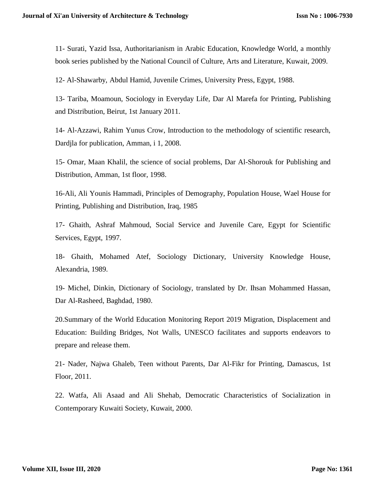11- Surati, Yazid Issa, Authoritarianism in Arabic Education, Knowledge World, a monthly book series published by the National Council of Culture, Arts and Literature, Kuwait, 2009.

12- Al-Shawarby, Abdul Hamid, Juvenile Crimes, University Press, Egypt, 1988.

13- Tariba, Moamoun, Sociology in Everyday Life, Dar Al Marefa for Printing, Publishing and Distribution, Beirut, 1st January 2011.

14- Al-Azzawi, Rahim Yunus Crow, Introduction to the methodology of scientific research, Dardjla for publication, Amman, i 1, 2008.

15- Omar, Maan Khalil, the science of social problems, Dar Al-Shorouk for Publishing and Distribution, Amman, 1st floor, 1998.

16-Ali, Ali Younis Hammadi, Principles of Demography, Population House, Wael House for Printing, Publishing and Distribution, Iraq, 1985

17- Ghaith, Ashraf Mahmoud, Social Service and Juvenile Care, Egypt for Scientific Services, Egypt, 1997.

18- Ghaith, Mohamed Atef, Sociology Dictionary, University Knowledge House, Alexandria, 1989.

19- Michel, Dinkin, Dictionary of Sociology, translated by Dr. Ihsan Mohammed Hassan, Dar Al-Rasheed, Baghdad, 1980.

20.Summary of the World Education Monitoring Report 2019 Migration, Displacement and Education: Building Bridges, Not Walls, UNESCO facilitates and supports endeavors to prepare and release them.

21- Nader, Najwa Ghaleb, Teen without Parents, Dar Al-Fikr for Printing, Damascus, 1st Floor, 2011.

22. Watfa, Ali Asaad and Ali Shehab, Democratic Characteristics of Socialization in Contemporary Kuwaiti Society, Kuwait, 2000.